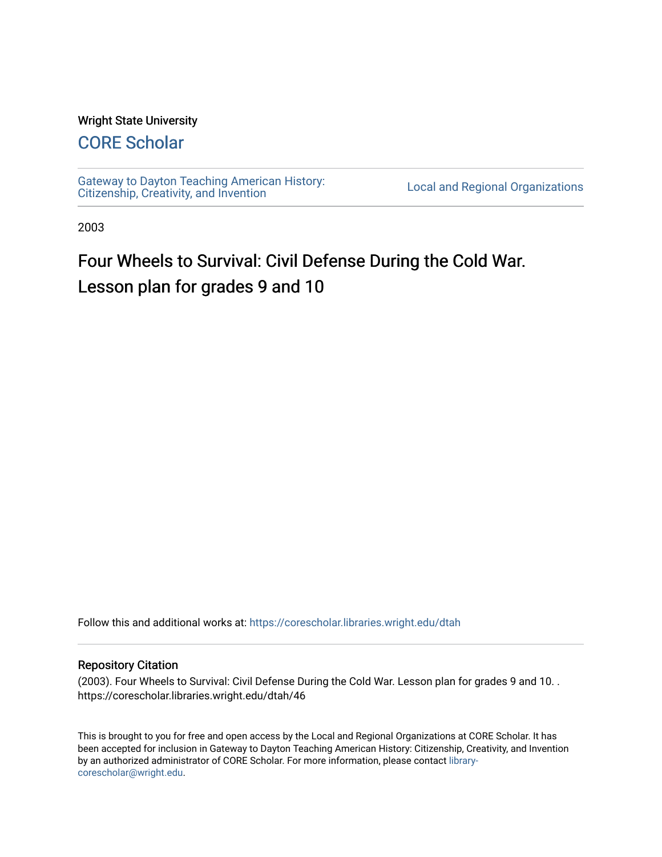#### Wright State University

# [CORE Scholar](https://corescholar.libraries.wright.edu/)

[Gateway to Dayton Teaching American History:](https://corescholar.libraries.wright.edu/dtah)  Gateway to Dayton Teaching American History.<br>[Citizenship, Creativity, and Invention](https://corescholar.libraries.wright.edu/dtah) Local and Regional Organizations

2003

# Four Wheels to Survival: Civil Defense During the Cold War. Lesson plan for grades 9 and 10

Follow this and additional works at: [https://corescholar.libraries.wright.edu/dtah](https://corescholar.libraries.wright.edu/dtah?utm_source=corescholar.libraries.wright.edu%2Fdtah%2F46&utm_medium=PDF&utm_campaign=PDFCoverPages)

#### Repository Citation

(2003). Four Wheels to Survival: Civil Defense During the Cold War. Lesson plan for grades 9 and 10. . https://corescholar.libraries.wright.edu/dtah/46

This is brought to you for free and open access by the Local and Regional Organizations at CORE Scholar. It has been accepted for inclusion in Gateway to Dayton Teaching American History: Citizenship, Creativity, and Invention by an authorized administrator of CORE Scholar. For more information, please contact [library](mailto:library-corescholar@wright.edu)[corescholar@wright.edu](mailto:library-corescholar@wright.edu).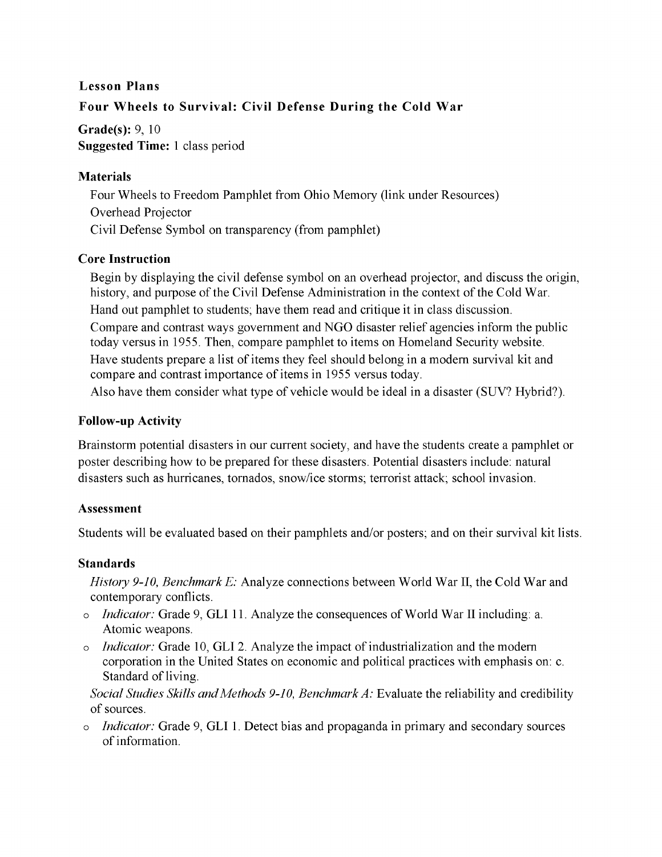# **Lesson Plans Four Wheels to Survival: Civil Defense During the Cold War**

**Grade(s):** 9, 10 **Suggested Time:** 1 class period

#### **Materials**

Four Wheels to Freedom Pamphlet from Ohio Memory (link under Resources) Overhead Projector Civil Defense Symbol on transparency (from pamphlet)

### **Core Instruction**

Begin by displaying the civil defense symbol on an overhead projector, and discuss the origin, history, and purpose of the Civil Defense Administration in the context of the Cold War. Hand out pamphlet to students; have them read and critique it in class discussion. Compare and contrast ways government and NGO disaster relief agencies inform the public today versus in 1955. Then, compare pamphlet to items on Homeland Security website. Have students prepare a list of items they feel should belong in a modem survival kit and compare and contrast importance of items in 1955 versus today. Also have them consider what type of vehicle would be ideal in a disaster (SUV? Hybrid?).

## **Follow-up Activity**

Brainstorm potential disasters in our current society, and have the students create a pamphlet or poster describing how to be prepared for these disasters. Potential disasters include: natural disasters such as hurricanes, tornados, snow/ice storms; terrorist attack; school invasion.

# **Assessment**

Students will be evaluated based on their pamphlets and/or posters; and on their survival kit lists.

# **Standards**

*History 9-10, Benchmark* E: Analyze connections between World War II, the Cold War and contemporary conflicts.

- o *Indicator:* Grade 9, GLI 11. Analyze the consequences of World War II including: a. Atomic weapons.
- o *Indicator:* Grade 10, GLI 2. Analyze the impact of industrialization and the modern corporation in the United States on economic and political practices with emphasis on: c. Standard of living.

*Social Studies Skills and Methods 9-10, Benchmark A: Evaluate the reliability and credibility* of sources.

o *Indicator:* Grade 9, GLI 1. Detect bias and propaganda in primary and secondary sources of information.